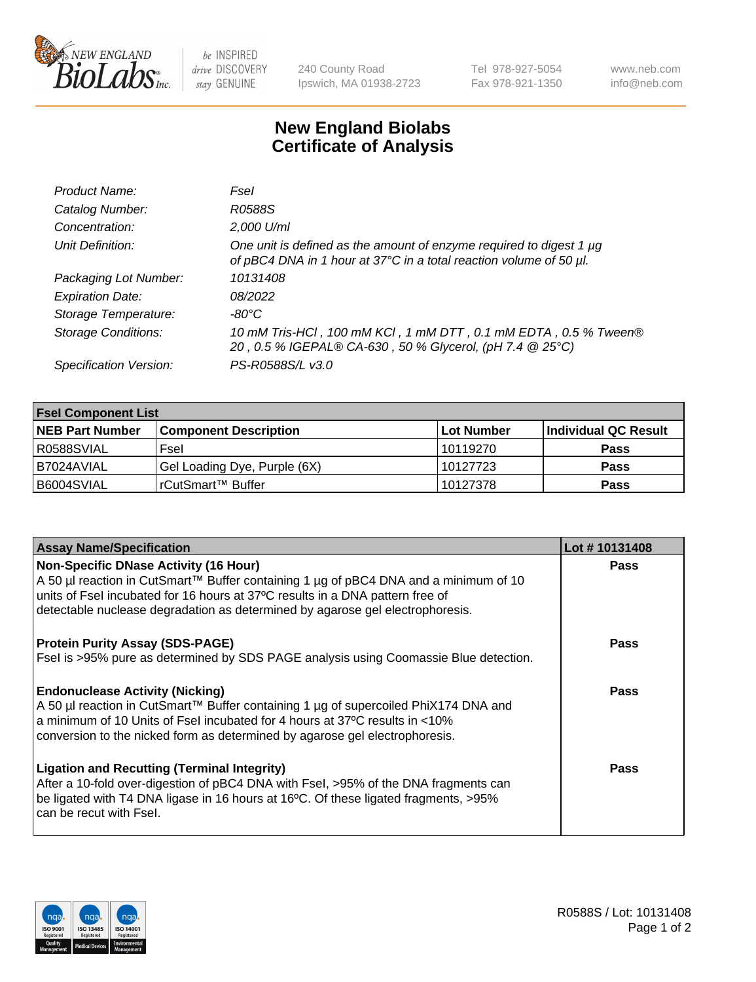

be INSPIRED drive DISCOVERY stay GENUINE

240 County Road Ipswich, MA 01938-2723 Tel 978-927-5054 Fax 978-921-1350 www.neb.com info@neb.com

## **New England Biolabs Certificate of Analysis**

| Product Name:              | Fsel                                                                                                                                      |
|----------------------------|-------------------------------------------------------------------------------------------------------------------------------------------|
| Catalog Number:            | R0588S                                                                                                                                    |
| Concentration:             | 2,000 U/ml                                                                                                                                |
| Unit Definition:           | One unit is defined as the amount of enzyme required to digest 1 µg<br>of pBC4 DNA in 1 hour at 37°C in a total reaction volume of 50 µl. |
| Packaging Lot Number:      | 10131408                                                                                                                                  |
| <b>Expiration Date:</b>    | 08/2022                                                                                                                                   |
| Storage Temperature:       | -80°C                                                                                                                                     |
| <b>Storage Conditions:</b> | 10 mM Tris-HCl, 100 mM KCl, 1 mM DTT, 0.1 mM EDTA, 0.5 % Tween®<br>20, 0.5 % IGEPAL® CA-630, 50 % Glycerol, (pH 7.4 @ 25°C)               |
| Specification Version:     | PS-R0588S/L v3.0                                                                                                                          |

| <b>Fsel Component List</b> |                              |            |                      |  |  |
|----------------------------|------------------------------|------------|----------------------|--|--|
| <b>NEB Part Number</b>     | <b>Component Description</b> | Lot Number | Individual QC Result |  |  |
| R0588SVIAL                 | Fsel                         | 10119270   | <b>Pass</b>          |  |  |
| I B7024AVIAL               | Gel Loading Dye, Purple (6X) | 10127723   | <b>Pass</b>          |  |  |
| B6004SVIAL                 | l rCutSmart™ Buffer          | 10127378   | <b>Pass</b>          |  |  |

| <b>Assay Name/Specification</b>                                                                                                                                                                                       | Lot #10131408 |
|-----------------------------------------------------------------------------------------------------------------------------------------------------------------------------------------------------------------------|---------------|
| <b>Non-Specific DNase Activity (16 Hour)</b><br>A 50 µl reaction in CutSmart™ Buffer containing 1 µg of pBC4 DNA and a minimum of 10<br>units of Fsel incubated for 16 hours at 37°C results in a DNA pattern free of | <b>Pass</b>   |
| detectable nuclease degradation as determined by agarose gel electrophoresis.                                                                                                                                         |               |
| <b>Protein Purity Assay (SDS-PAGE)</b>                                                                                                                                                                                | <b>Pass</b>   |
| Fsel is >95% pure as determined by SDS PAGE analysis using Coomassie Blue detection.                                                                                                                                  |               |
| <b>Endonuclease Activity (Nicking)</b>                                                                                                                                                                                | <b>Pass</b>   |
| A 50 µl reaction in CutSmart™ Buffer containing 1 µg of supercoiled PhiX174 DNA and<br>a minimum of 10 Units of Fsel incubated for 4 hours at 37°C results in <10%                                                    |               |
| conversion to the nicked form as determined by agarose gel electrophoresis.                                                                                                                                           |               |
| <b>Ligation and Recutting (Terminal Integrity)</b><br>After a 10-fold over-digestion of pBC4 DNA with Fsel, >95% of the DNA fragments can                                                                             | Pass          |
| be ligated with T4 DNA ligase in 16 hours at 16°C. Of these ligated fragments, >95%<br>can be recut with Fsel.                                                                                                        |               |